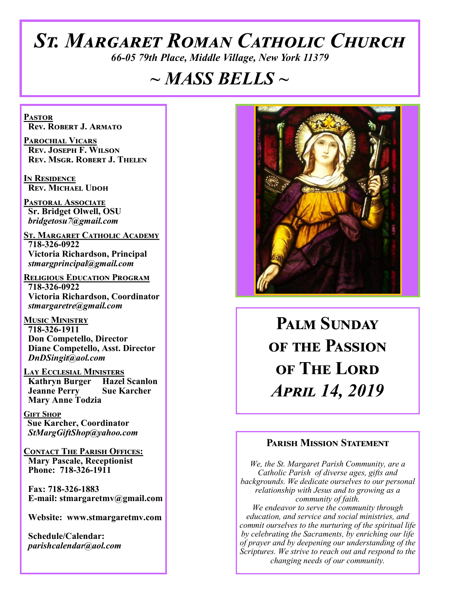# *St. Margaret Roman Catholic Church*

*66-05 79th Place, Middle Village, New York 11379*

# *~ MASS BELLS ~*

**Pastor Rev. Robert J. Armato**

**Parochial Vicars Rev. Joseph F. Wilson Rev. Msgr. Robert J. Thelen**

**In Residence Rev. Michael Udoh**

**Pastoral Associate Sr. Bridget Olwell, OSU**  *bridgetosu7@gmail.com*

**St. Margaret Catholic Academy 718-326-0922 Victoria Richardson, Principal**  *stmargprincipal@gmail.com*

**Religious Education Program 718-326-0922 Victoria Richardson, Coordinator** *stmargaretre@gmail.com*

**Music Ministry 718-326-1911 Don Competello, Director Diane Competello, Asst. Director** *DnDSingit@aol.com*

**LAY ECCLESIAL MINISTERS**<br>**Kathryn Burger Hazel Scanlon Kathryn Burger Jeanne Perry Sue Karcher Mary Anne Todzia**

**Gift Shop Sue Karcher, Coordinator** *StMargGiftShop@yahoo.com*

**Contact The Parish Offices: Mary Pascale, Receptionist Phone: 718-326-1911** 

 **Fax: 718-326-1883 E-mail: stmargaretmv@gmail.com**

 **Website: www.stmargaretmv.com**

 **Schedule/Calendar:** *parishcalendar@aol.com* 



**Palm Sunday of the Passion of The Lord**  *April 14, 2019* 

#### **Parish Mission Statement**

*We, the St. Margaret Parish Community, are a Catholic Parish of diverse ages, gifts and backgrounds. We dedicate ourselves to our personal relationship with Jesus and to growing as a community of faith. We endeavor to serve the community through education, and service and social ministries, and commit ourselves to the nurturing of the spiritual life by celebrating the Sacraments, by enriching our life of prayer and by deepening our understanding of the Scriptures. We strive to reach out and respond to the changing needs of our community.*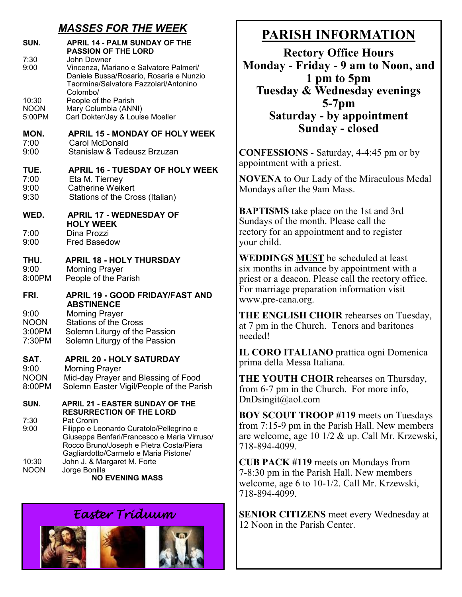# *MASSES FOR THE WEEK*

| SUN.                                    | <b>APRIL 14 - PALM SUNDAY OF THE</b><br><b>PASSION OF THE LORD</b>                                                                               |
|-----------------------------------------|--------------------------------------------------------------------------------------------------------------------------------------------------|
| 7:30<br>9:00                            | John Downer<br>Vincenza, Mariano e Salvatore Palmeri/<br>Daniele Bussa/Rosario, Rosaria e Nunzio<br>Taormina/Salvatore Fazzolari/Antonino        |
| 10:30<br><b>NOON</b><br>5:00PM          | Colombo/<br>People of the Parish<br>Mary Columbia (ANNI)<br>Carl Dokter/Jay & Louise Moeller                                                     |
| MON.<br>7:00<br>9:00                    | <b>APRIL 15 - MONDAY OF HOLY WEEK</b><br>Carol McDonald<br>Stanislaw & Tedeusz Brzuzan                                                           |
| TUE.<br>7:00<br>9:00<br>9:30            | <b>APRIL 16 - TUESDAY OF HOLY WEEK</b><br>Eta M. Tierney<br>Catherine Weikert<br>Stations of the Cross (Italian)                                 |
| WED.                                    | <b>APRIL 17 - WEDNESDAY OF</b><br><b>HOLY WEEK</b>                                                                                               |
| 7:00<br>9:00                            | Dina Prozzi<br><b>Fred Basedow</b>                                                                                                               |
| THU.<br>9:00<br>8:00PM                  | <b>APRIL 18 - HOLY THURSDAY</b><br><b>Morning Prayer</b><br>People of the Parish                                                                 |
| FRI.                                    | <b>APRIL 19 - GOOD FRIDAY/FAST AND</b><br><b>ABSTINENCE</b>                                                                                      |
| 9:00<br><b>NOON</b><br>3:00PM<br>7:30PM | <b>Morning Prayer</b><br><b>Stations of the Cross</b><br>Solemn Liturgy of the Passion<br>Solemn Liturgy of the Passion                          |
| SAT.                                    | <b>APRIL 20 - HOLY SATURDAY</b>                                                                                                                  |
| 9:00<br><b>NOON</b><br>8:00PM           | <b>Morning Prayer</b><br>Mid-day Prayer and Blessing of Food<br>Solemn Easter Vigil/People of the Parish                                         |
| SUN.                                    | <b>APRIL 21 - EASTER SUNDAY OF THE</b><br><b>RESURRECTION OF THE LORD</b>                                                                        |
| 7:30<br>9:00                            | Pat Cronin<br>Filippo e Leonardo Curatolo/Pellegrino e<br>Giuseppa Benfari/Francesco e Maria Virruso/<br>Rocco Bruno/Joseph e Pietra Costa/Piera |
| 10:30<br><b>NOON</b>                    | Gagliardotto/Carmelo e Maria Pistone/<br>John J. & Margaret M. Forte<br>Jorge Bonilla                                                            |

**NO EVENING MASS** 

# *Easter Triduum*



# **PARISH INFORMATION**

**Rectory Office Hours Monday - Friday - 9 am to Noon, and 1 pm to 5pm Tuesday & Wednesday evenings 5-7pm Saturday - by appointment Sunday - closed**

**CONFESSIONS** - Saturday, 4-4:45 pm or by appointment with a priest.

**NOVENA** to Our Lady of the Miraculous Medal Mondays after the 9am Mass.

**BAPTISMS** take place on the 1st and 3rd Sundays of the month. Please call the rectory for an appointment and to register your child.

**WEDDINGS MUST** be scheduled at least six months in advance by appointment with a priest or a deacon. Please call the rectory office. For marriage preparation information visit www.pre-cana.org.

**THE ENGLISH CHOIR** rehearses on Tuesday, at 7 pm in the Church. Tenors and baritones needed!

**IL CORO ITALIANO** prattica ogni Domenica prima della Messa Italiana.

**THE YOUTH CHOIR** rehearses on Thursday, from 6-7 pm in the Church. For more info, DnDsingit@aol.com

**BOY SCOUT TROOP #119** meets on Tuesdays from 7:15-9 pm in the Parish Hall. New members are welcome, age 10 1/2 & up. Call Mr. Krzewski, 718-894-4099.

**CUB PACK #119** meets on Mondays from 7-8:30 pm in the Parish Hall. New members welcome, age 6 to 10-1/2. Call Mr. Krzewski, 718-894-4099.

**SENIOR CITIZENS** meet every Wednesday at 12 Noon in the Parish Center.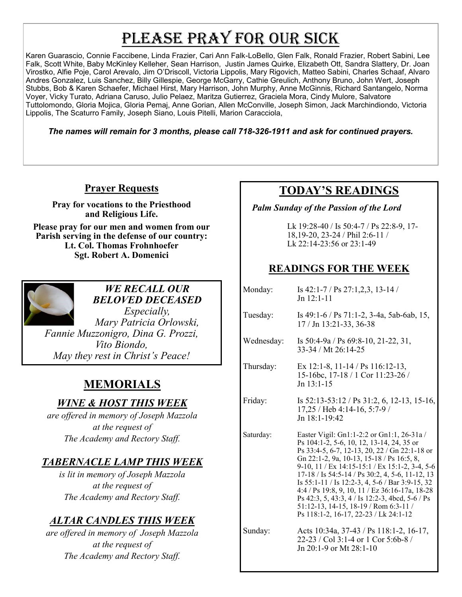# PLEASE PRAY FOR OUR SICK

Karen Guarascio, Connie Faccibene, Linda Frazier, Cari Ann Falk-LoBello, Glen Falk, Ronald Frazier, Robert Sabini, Lee Falk, Scott White, Baby McKinley Kelleher, Sean Harrison, Justin James Quirke, Elizabeth Ott, Sandra Slattery, Dr. Joan Virostko, Alfie Poje, Carol Arevalo, Jim O'Driscoll, Victoria Lippolis, Mary Rigovich, Matteo Sabini, Charles Schaaf, Alvaro Andres Gonzalez, Luis Sanchez, Billy Gillespie, George McGarry, Cathie Greulich, Anthony Bruno, John Wert, Joseph Stubbs, Bob & Karen Schaefer, Michael Hirst, Mary Harrison, John Murphy, Anne McGinnis, Richard Santangelo, Norma Voyer, Vicky Turato, Adriana Caruso, Julio Pelaez, Maritza Gutierrez, Graciela Mora, Cindy Mulore, Salvatore Tuttolomondo, Gloria Mojica, Gloria Pemaj, Anne Gorian, Allen McConville, Joseph Simon, Jack Marchindiondo, Victoria Lippolis, The Scaturro Family, Joseph Siano, Louis Pitelli, Marion Caracciola,

*The names will remain for 3 months, please call 718-326-1911 and ask for continued prayers.*

## **Prayer Requests**

**Pray for vocations to the Priesthood and Religious Life.** 

**Please pray for our men and women from our Parish serving in the defense of our country: Lt. Col. Thomas Frohnhoefer Sgt. Robert A. Domenici** 



#### *WE RECALL OUR BELOVED DECEASED*

*Especially, Mary Patricia Orlowski, Fannie Muzzonigro, Dina G. Prozzi, Vito Biondo, May they rest in Christ's Peace!*

# **MEMORIALS**

## *WINE & HOST THIS WEEK*

*are offered in memory of Joseph Mazzola at the request of The Academy and Rectory Staff.* 

## *TABERNACLE LAMP THIS WEEK*

*is lit in memory of Joseph Mazzola at the request of The Academy and Rectory Staff.*

## *ALTAR CANDLES THIS WEEK*

*are offered in memory of Joseph Mazzola at the request of The Academy and Rectory Staff.*

# **TODAY'S READINGS**

 *Palm Sunday of the Passion of the Lord*

Lk 19:28-40 / Is 50:4-7 / Ps 22:8-9, 17- 18,19-20, 23-24 / Phil 2:6-11 / Lk 22:14-23:56 or 23:1-49

## **READINGS FOR THE WEEK**

| Monday:    | Is $42:1 - 7 / \text{Ps } 27:1,2,3, 13-14 /$<br>$Jn 12:1-11$                                                                                                                                                                                                                                                                                                                                                                                                                                                                         |
|------------|--------------------------------------------------------------------------------------------------------------------------------------------------------------------------------------------------------------------------------------------------------------------------------------------------------------------------------------------------------------------------------------------------------------------------------------------------------------------------------------------------------------------------------------|
| Tuesday:   | Is 49:1-6 / Ps 71:1-2, 3-4a, 5ab-6ab, 15,<br>17 / Jn 13:21-33, 36-38                                                                                                                                                                                                                                                                                                                                                                                                                                                                 |
| Wednesday: | Is $50:4-9a / Ps$ 69:8-10, 21-22, 31,<br>33-34 / Mt 26:14-25                                                                                                                                                                                                                                                                                                                                                                                                                                                                         |
| Thursday:  | Ex 12:1-8, 11-14 / Ps 116:12-13,<br>15-16bc, 17-18 / 1 Cor 11:23-26 /<br>$Jn$ 13:1-15                                                                                                                                                                                                                                                                                                                                                                                                                                                |
| Friday:    | Is $52:13-53:12$ / Ps $31:2, 6, 12-13, 15-16$ ,<br>17,25 / Heb 4:14-16, 5:7-9 /<br>Jn 18:1-19:42                                                                                                                                                                                                                                                                                                                                                                                                                                     |
| Saturday:  | Easter Vigil: Gn1:1-2:2 or Gn1:1, 26-31a /<br>Ps 104:1-2, 5-6, 10, 12, 13-14, 24, 35 or<br>Ps 33:4-5, 6-7, 12-13, 20, 22 / Gn 22:1-18 or<br>Gn 22:1-2, 9a, 10-13, 15-18 / Ps 16:5, 8,<br>9-10, 11 / Ex 14:15-15:1 / Ex 15:1-2, 3-4, 5-6<br>17-18 / Is 54:5-14 / Ps 30:2, 4, 5-6, 11-12, 13<br>Is 55:1-11 / Is 12:2-3, 4, 5-6 / Bar 3:9-15, 32<br>4:4 / Ps 19:8, 9, 10, 11 / Ez 36:16-17a, 18-28<br>Ps 42:3, 5, 43:3, 4 / Is 12:2-3, 4bcd, 5-6 / Ps<br>51:12-13, 14-15, 18-19 / Rom 6:3-11 /<br>Ps 118:1-2, 16-17, 22-23 / Lk 24:1-12 |
| Sunday:    | Acts 10:34a, 37-43 / Ps 118:1-2, 16-17,<br>22-23 / Col 3:1-4 or 1 Cor 5:6b-8 /<br>Jn 20:1-9 or Mt 28:1-10                                                                                                                                                                                                                                                                                                                                                                                                                            |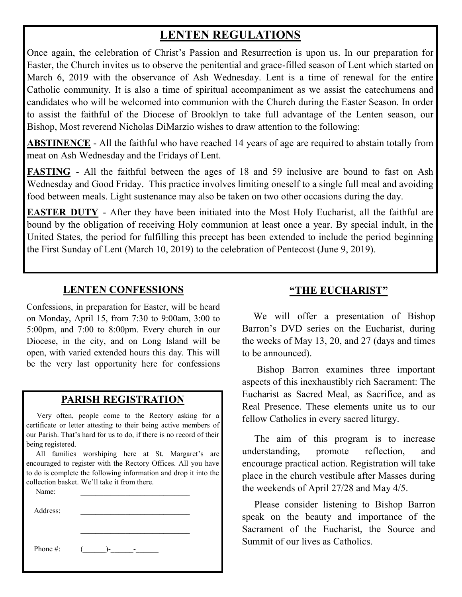# **LENTEN REGULATIONS**

Once again, the celebration of Christ's Passion and Resurrection is upon us. In our preparation for Easter, the Church invites us to observe the penitential and grace-filled season of Lent which started on March 6, 2019 with the observance of Ash Wednesday. Lent is a time of renewal for the entire Catholic community. It is also a time of spiritual accompaniment as we assist the catechumens and candidates who will be welcomed into communion with the Church during the Easter Season. In order to assist the faithful of the Diocese of Brooklyn to take full advantage of the Lenten season, our Bishop, Most reverend Nicholas DiMarzio wishes to draw attention to the following:

**ABSTINENCE** - All the faithful who have reached 14 years of age are required to abstain totally from meat on Ash Wednesday and the Fridays of Lent.

**FASTING** - All the faithful between the ages of 18 and 59 inclusive are bound to fast on Ash Wednesday and Good Friday. This practice involves limiting oneself to a single full meal and avoiding food between meals. Light sustenance may also be taken on two other occasions during the day.

**EASTER DUTY** - After they have been initiated into the Most Holy Eucharist, all the faithful are bound by the obligation of receiving Holy communion at least once a year. By special indult, in the United States, the period for fulfilling this precept has been extended to include the period beginning the First Sunday of Lent (March 10, 2019) to the celebration of Pentecost (June 9, 2019).

#### **LENTEN CONFESSIONS**

Confessions, in preparation for Easter, will be heard on Monday, April 15, from 7:30 to 9:00am, 3:00 to 5:00pm, and 7:00 to 8:00pm. Every church in our Diocese, in the city, and on Long Island will be open, with varied extended hours this day. This will be the very last opportunity here for confessions

#### **PARISH REGISTRATION**

 Very often, people come to the Rectory asking for a certificate or letter attesting to their being active members of our Parish. That's hard for us to do, if there is no record of their being registered.

 All families worshiping here at St. Margaret's are encouraged to register with the Rectory Offices. All you have to do is complete the following information and drop it into the collection basket. We'll take it from there.

| Name:    |    |  |
|----------|----|--|
| Address: |    |  |
|          |    |  |
|          |    |  |
| Phone #: | )- |  |
|          |    |  |

#### **"THE EUCHARIST"**

 We will offer a presentation of Bishop Barron's DVD series on the Eucharist, during the weeks of May 13, 20, and 27 (days and times to be announced).

 Bishop Barron examines three important aspects of this inexhaustibly rich Sacrament: The Eucharist as Sacred Meal, as Sacrifice, and as Real Presence. These elements unite us to our fellow Catholics in every sacred liturgy.

 The aim of this program is to increase understanding, promote reflection, and encourage practical action. Registration will take place in the church vestibule after Masses during the weekends of April 27/28 and May 4/5.

 Please consider listening to Bishop Barron speak on the beauty and importance of the Sacrament of the Eucharist, the Source and Summit of our lives as Catholics.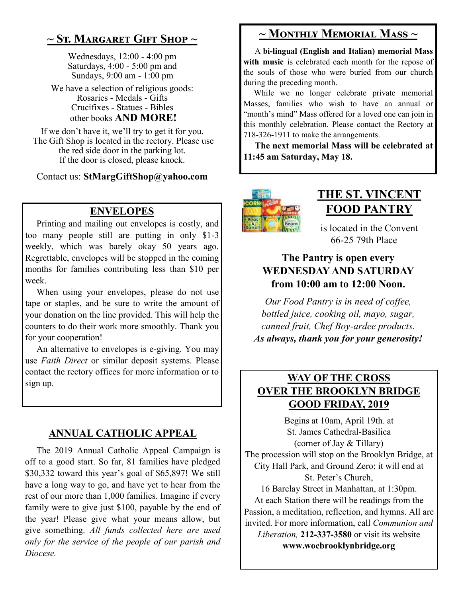# **~ St. Margaret Gift Shop ~**

Wednesdays, 12:00 - 4:00 pm Saturdays, 4:00 - 5:00 pm and Sundays, 9:00 am - 1:00 pm

We have a selection of religious goods: Rosaries - Medals - Gifts Crucifixes - Statues - Bibles other books **AND MORE!**

If we don't have it, we'll try to get it for you. The Gift Shop is located in the rectory. Please use the red side door in the parking lot. If the door is closed, please knock.

Contact us: **StMargGiftShop@yahoo.com**

## **ENVELOPES**

Printing and mailing out envelopes is costly, and too many people still are putting in only \$1-3 weekly, which was barely okay 50 years ago. Regrettable, envelopes will be stopped in the coming months for families contributing less than \$10 per week.

 When using your envelopes, please do not use tape or staples, and be sure to write the amount of your donation on the line provided. This will help the counters to do their work more smoothly. Thank you for your cooperation!

 An alternative to envelopes is e-giving. You may use *Faith Direct* or similar deposit systems. Please contact the rectory offices for more information or to sign up.

## **ANNUAL CATHOLIC APPEAL**

 The 2019 Annual Catholic Appeal Campaign is off to a good start. So far, 81 families have pledged \$30,332 toward this year's goal of \$65,897! We still have a long way to go, and have yet to hear from the rest of our more than 1,000 families. Imagine if every family were to give just \$100, payable by the end of the year! Please give what your means allow, but give something. *All funds collected here are used only for the service of the people of our parish and Diocese.* 

# **~ Monthly Memorial Mass ~**

 A **bi-lingual (English and Italian) memorial Mass**  with music is celebrated each month for the repose of the souls of those who were buried from our church during the preceding month.

 While we no longer celebrate private memorial Masses, families who wish to have an annual or "month's mind" Mass offered for a loved one can join in this monthly celebration. Please contact the Rectory at 718-326-1911 to make the arrangements.

 **The next memorial Mass will be celebrated at 11:45 am Saturday, May 18.** 



# **THE ST. VINCENT FOOD PANTRY**

is located in the Convent 66-25 79th Place

## **The Pantry is open every WEDNESDAY AND SATURDAY from 10:00 am to 12:00 Noon.**

*Our Food Pantry is in need of coffee, bottled juice, cooking oil, mayo, sugar, canned fruit, Chef Boy-ardee products. As always, thank you for your generosity!*

# **WAY OF THE CROSS OVER THE BROOKLYN BRIDGE GOOD FRIDAY, 2019**

Begins at 10am, April 19th. at St. James Cathedral-Basilica (corner of Jay & Tillary)

The procession will stop on the Brooklyn Bridge, at City Hall Park, and Ground Zero; it will end at St. Peter's Church,

16 Barclay Street in Manhattan, at 1:30pm. At each Station there will be readings from the Passion, a meditation, reflection, and hymns. All are invited. For more information, call *Communion and Liberation,* **212-337-3580** or visit its website **www.wocbrooklynbridge.org**